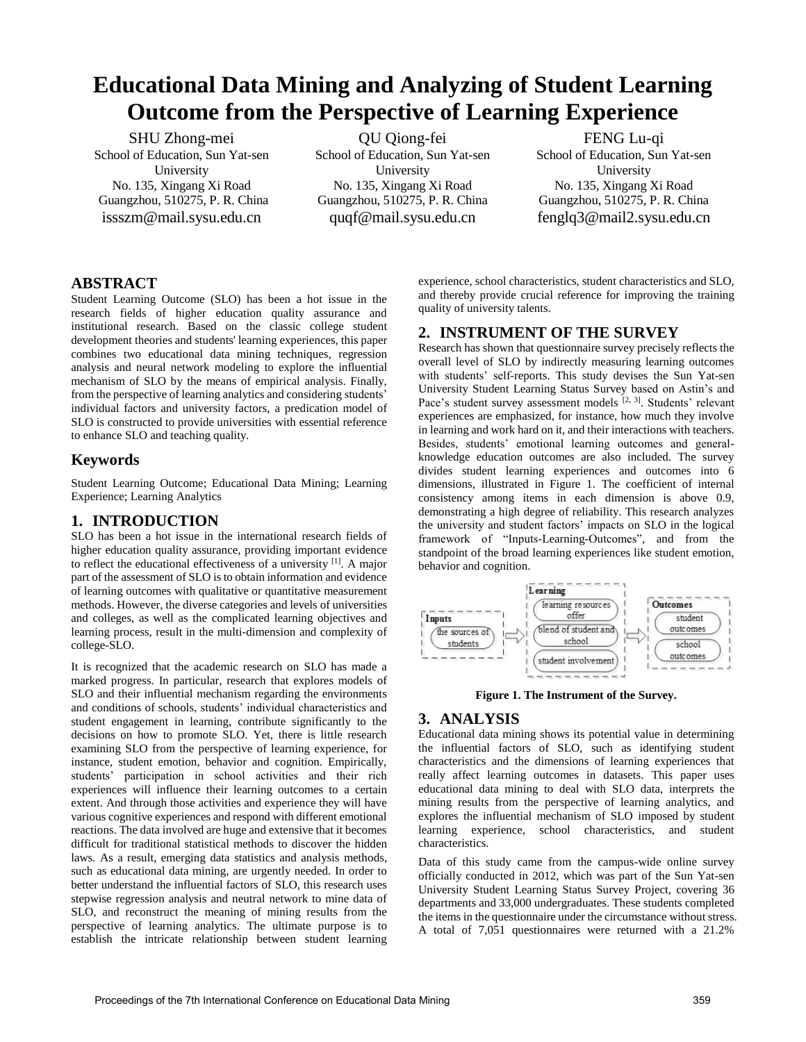# **Educational Data Mining and Analyzing of Student Learning Outcome from the Perspective of Learning Experience**

SHU Zhong-mei School of Education, Sun Yat-sen University No. 135, Xingang Xi Road Guangzhou, 510275, P. R. China issszm@mail.sysu.edu.cn

QU Qiong-fei School of Education, Sun Yat-sen University No. 135, Xingang Xi Road Guangzhou, 510275, P. R. China quqf@mail.sysu.edu.cn

FENG Lu-qi School of Education, Sun Yat-sen University No. 135, Xingang Xi Road Guangzhou, 510275, P. R. China fenglq3@mail2.sysu.edu.cn

## **ABSTRACT**

Student Learning Outcome (SLO) has been a hot issue in the research fields of higher education quality assurance and institutional research. Based on the classic college student development theories and students' learning experiences, this paper combines two educational data mining techniques, regression analysis and neural network modeling to explore the influential mechanism of SLO by the means of empirical analysis. Finally, from the perspective of learning analytics and considering students' individual factors and university factors, a predication model of SLO is constructed to provide universities with essential reference to enhance SLO and teaching quality.

## **Keywords**

Student Learning Outcome; Educational Data Mining; Learning Experience; Learning Analytics

## **1. INTRODUCTION**

SLO has been a hot issue in the international research fields of higher education quality assurance, providing important evidence to reflect the educational effectiveness of a university [1]. A major part of the assessment of SLO is to obtain information and evidence of learning outcomes with qualitative or quantitative measurement methods. However, the diverse categories and levels of universities and colleges, as well as the complicated learning objectives and learning process, result in the multi-dimension and complexity of college-SLO.

It is recognized that the academic research on SLO has made a marked progress. In particular, research that explores models of SLO and their influential mechanism regarding the environments and conditions of schools, students' individual characteristics and student engagement in learning, contribute significantly to the decisions on how to promote SLO. Yet, there is little research examining SLO from the perspective of learning experience, for instance, student emotion, behavior and cognition. Empirically, students' participation in school activities and their rich experiences will influence their learning outcomes to a certain extent. And through those activities and experience they will have various cognitive experiences and respond with different emotional reactions. The data involved are huge and extensive that it becomes difficult for traditional statistical methods to discover the hidden laws. As a result, emerging data statistics and analysis methods, such as educational data mining, are urgently needed. In order to better understand the influential factors of SLO, this research uses stepwise regression analysis and neutral network to mine data of SLO, and reconstruct the meaning of mining results from the perspective of learning analytics. The ultimate purpose is to establish the intricate relationship between student learning

experience, school characteristics, student characteristics and SLO, and thereby provide crucial reference for improving the training quality of university talents.

## **2. INSTRUMENT OF THE SURVEY**

Research has shown that questionnaire survey precisely reflects the overall level of SLO by indirectly measuring learning outcomes with students' self-reports. This study devises the Sun Yat-sen University Student Learning Status Survey based on Astin's and Pace's student survey assessment models <sup>[2, 3]</sup>. Students' relevant experiences are emphasized, for instance, how much they involve in learning and work hard on it, and their interactions with teachers. Besides, students' emotional learning outcomes and generalknowledge education outcomes are also included. The survey divides student learning experiences and outcomes into 6 dimensions, illustrated in Figure 1. The coefficient of internal consistency among items in each dimension is above 0.9, demonstrating a high degree of reliability. This research analyzes the university and student factors' impacts on SLO in the logical framework of "Inputs-Learning-Outcomes", and from the standpoint of the broad learning experiences like student emotion, behavior and cognition.



**Figure 1. The Instrument of the Survey.** 

## **3. ANALYSIS**

Educational data mining shows its potential value in determining the influential factors of SLO, such as identifying student characteristics and the dimensions of learning experiences that really affect learning outcomes in datasets. This paper uses educational data mining to deal with SLO data, interprets the mining results from the perspective of learning analytics, and explores the influential mechanism of SLO imposed by student learning experience, school characteristics, and student characteristics.

Data of this study came from the campus-wide online survey officially conducted in 2012, which was part of the Sun Yat-sen University Student Learning Status Survey Project, covering 36 departments and 33,000 undergraduates. These students completed the items in the questionnaire under the circumstance without stress. A total of 7,051 questionnaires were returned with a 21.2%